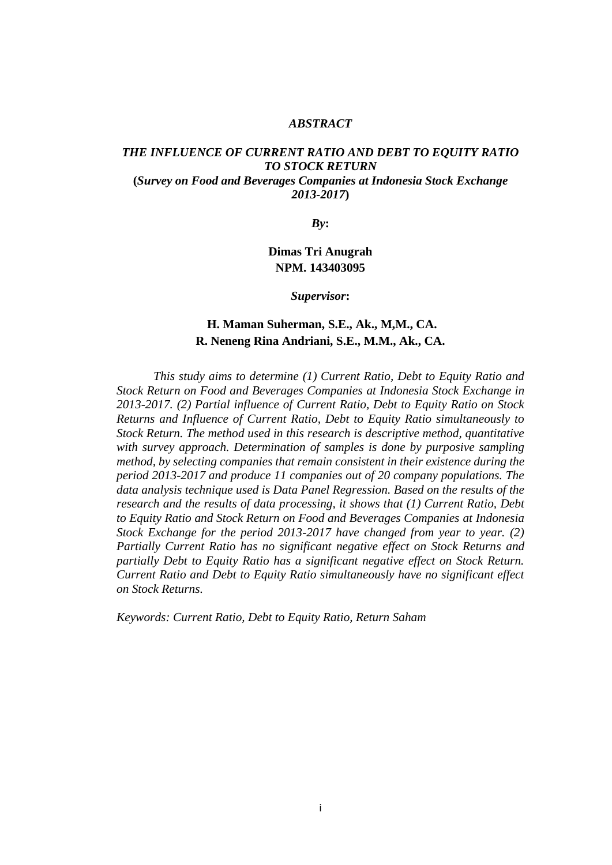#### *ABSTRACT*

#### *THE INFLUENCE OF CURRENT RATIO AND DEBT TO EQUITY RATIO TO STOCK RETURN* **(***Survey on Food and Beverages Companies at Indonesia Stock Exchange 2013-2017***)**

*By***:** 

# **Dimas Tri Anugrah NPM. 143403095**

*Supervisor***:** 

## **H. Maman Suherman, S.E., Ak., M,M., CA. R. Neneng Rina Andriani, S.E., M.M., Ak., CA.**

*This study aims to determine (1) Current Ratio, Debt to Equity Ratio and Stock Return on Food and Beverages Companies at Indonesia Stock Exchange in 2013-2017. (2) Partial influence of Current Ratio, Debt to Equity Ratio on Stock Returns and Influence of Current Ratio, Debt to Equity Ratio simultaneously to Stock Return. The method used in this research is descriptive method, quantitative with survey approach. Determination of samples is done by purposive sampling method, by selecting companies that remain consistent in their existence during the period 2013-2017 and produce 11 companies out of 20 company populations. The data analysis technique used is Data Panel Regression. Based on the results of the research and the results of data processing, it shows that (1) Current Ratio, Debt to Equity Ratio and Stock Return on Food and Beverages Companies at Indonesia Stock Exchange for the period 2013-2017 have changed from year to year. (2) Partially Current Ratio has no significant negative effect on Stock Returns and partially Debt to Equity Ratio has a significant negative effect on Stock Return. Current Ratio and Debt to Equity Ratio simultaneously have no significant effect on Stock Returns.*

*Keywords: Current Ratio, Debt to Equity Ratio, Return Saham*